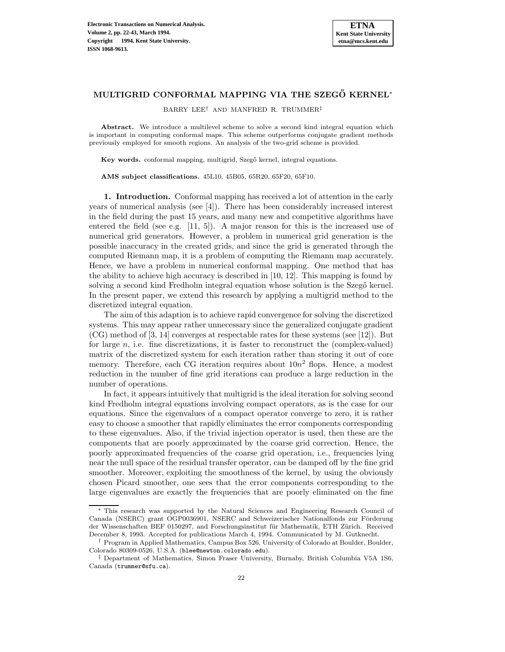# **MULTIGRID CONFORMAL MAPPING VIA THE SZEGŐ KERNEL<sup>\*</sup>**

BARRY LEE† AND MANFRED R. TRUMMER‡

Abstract. We introduce a multilevel scheme to solve a second kind integral equation which is important in computing conformal maps. This scheme outperforms conjugate gradient methods previously employed for smooth regions. An analysis of the two-grid scheme is provided.

**Key words.** conformal mapping, multigrid, Szegő kernel, integral equations.

**AMS subject classifications.** 45L10, 45B05, 65R20, 65F20, 65F10.

**1. Introduction.** Conformal mapping has received a lot of attention in the early years of numerical analysis (see [4]). There has been considerably increased interest in the field during the past 15 years, and many new and competitive algorithms have entered the field (see e.g. [11, 5]). A major reason for this is the increased use of numerical grid generators. However, a problem in numerical grid generation is the possible inaccuracy in the created grids, and since the grid is generated through the computed Riemann map, it is a problem of computing the Riemann map accurately. Hence, we have a problem in numerical conformal mapping. One method that has the ability to achieve high accuracy is described in [10, 12]. This mapping is found by solving a second kind Fredholm integral equation whose solution is the Szegő kernel. In the present paper, we extend this research by applying a multigrid method to the discretized integral equation.

The aim of this adaption is to achieve rapid convergence for solving the discretized systems. This may appear rather unnecessary since the generalized conjugate gradient (CG) method of [3, 14] converges at respectable rates for these systems (see [12]). But for large  $n$ , i.e. fine discretizations, it is faster to reconstruct the (complex-valued) matrix of the discretized system for each iteration rather than storing it out of core memory. Therefore, each CG iteration requires about  $10n^2$  flops. Hence, a modest reduction in the number of fine grid iterations can produce a large reduction in the number of operations.

In fact, it appears intuitively that multigrid is the ideal iteration for solving second kind Fredholm integral equations involving compact operators, as is the case for our equations. Since the eigenvalues of a compact operator converge to zero, it is rather easy to choose a smoother that rapidly eliminates the error components corresponding to these eigenvalues. Also, if the trivial injection operator is used, then these are the components that are poorly approximated by the coarse grid correction. Hence, the poorly approximated frequencies of the coarse grid operation, i.e., frequencies lying near the null space of the residual transfer operator, can be damped off by the fine grid smoother. Moreover, exploiting the smoothness of the kernel, by using the obviously chosen Picard smoother, one sees that the error components corresponding to the large eigenvalues are exactly the frequencies that are poorly eliminated on the fine

<sup>∗</sup> This research was supported by the Natural Sciences and Engineering Research Council of Canada (NSERC) grant OGP0036901, NSERC and Schweizerischer Nationalfonds zur Förderung der Wissenschaften BEF 0150297, and Forschungsinstitut für Mathematik, ETH Zürich. Received December 8, 1993. Accepted for publications March 4, 1994. Communicated by M. Gutknecht.

<sup>†</sup> Program in Applied Mathematics, Campus Box 526, University of Colorado at Boulder, Boulder, Colorado 80309-0526, U.S.A. (blee@newton.colorado.edu).

<sup>‡</sup> Department of Mathematics, Simon Fraser University, Burnaby, British Columbia V5A 1S6, Canada (trummer@sfu.ca).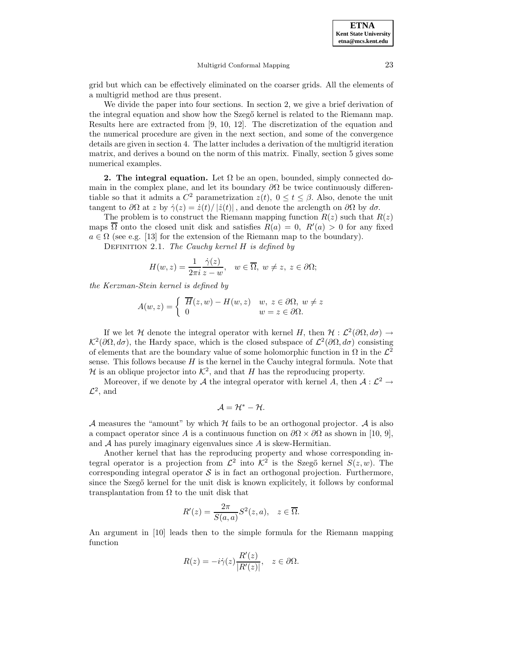grid but which can be effectively eliminated on the coarser grids. All the elements of a multigrid method are thus present.

We divide the paper into four sections. In section 2, we give a brief derivation of the integral equation and show how the Szegő kernel is related to the Riemann map. Results here are extracted from [9, 10, 12]. The discretization of the equation and the numerical procedure are given in the next section, and some of the convergence details are given in section 4. The latter includes a derivation of the multigrid iteration matrix, and derives a bound on the norm of this matrix. Finally, section 5 gives some numerical examples.

**2. The integral equation.** Let  $\Omega$  be an open, bounded, simply connected domain in the complex plane, and let its boundary  $\partial\Omega$  be twice continuously differentiable so that it admits a  $C^2$  parametrization  $z(t)$ ,  $0 \le t \le \beta$ . Also, denote the unit tangent to  $\partial\Omega$  at z by  $\dot{\gamma}(z)=\dot{z}(t)/|\dot{z}(t)|$ , and denote the arclength on  $\partial\Omega$  by  $d\sigma$ .

The problem is to construct the Riemann mapping function  $R(z)$  such that  $R(z)$ maps  $\Omega$  onto the closed unit disk and satisfies  $R(a) = 0$ ,  $R'(a) > 0$  for any fixed  $a \in \Omega$  (see e.g. [13] for the extension of the Riemann map to the boundary).

DEFINITION 2.1. The Cauchy kernel  $H$  is defined by

$$
H(w, z) = \frac{1}{2\pi i} \frac{\dot{\gamma}(z)}{z - w}, \quad w \in \overline{\Omega}, \ w \neq z, \ z \in \partial\Omega;
$$

the Kerzman-Stein kernel is defined by

$$
A(w, z) = \begin{cases} \overline{H}(z, w) - H(w, z) & w, z \in \partial \Omega, w \neq z \\ 0 & w = z \in \partial \Omega. \end{cases}
$$

If we let H denote the integral operator with kernel H, then  $H : \mathcal{L}^2(\partial\Omega, d\sigma) \to$  $\mathcal{K}^2(\partial\Omega,d\sigma)$ , the Hardy space, which is the closed subspace of  $\mathcal{L}^2(\partial\Omega,d\sigma)$  consisting of elements that are the boundary value of some holomorphic function in  $\Omega$  in the  $\mathcal{L}^2$ sense. This follows because  $H$  is the kernel in the Cauchy integral formula. Note that H is an oblique projector into  $\mathcal{K}^2$ , and that H has the reproducing property.

Moreover, if we denote by A the integral operator with kernel A, then  $A: \mathcal{L}^2 \to$  $\mathcal{L}^2$ , and

$$
\mathcal{A}=\mathcal{H}^*-\mathcal{H}.
$$

A measures the "amount" by which H fails to be an orthogonal projector. A is also a compact operator since A is a continuous function on  $\partial\Omega \times \partial\Omega$  as shown in [10, 9], and  $A$  has purely imaginary eigenvalues since  $A$  is skew-Hermitian.

Another kernel that has the reproducing property and whose corresponding integral operator is a projection from  $\mathcal{L}^2$  into  $\mathcal{K}^2$  is the Szegő kernel  $S(z,w)$ . The corresponding integral operator  $S$  is in fact an orthogonal projection. Furthermore, since the Szegő kernel for the unit disk is known explicitely, it follows by conformal transplantation from  $\Omega$  to the unit disk that

$$
R'(z) = \frac{2\pi}{S(a,a)}S^2(z,a), \quad z \in \overline{\Omega}.
$$

An argument in [10] leads then to the simple formula for the Riemann mapping function

$$
R(z) = -i\dot{\gamma}(z)\frac{R'(z)}{|R'(z)|}, \quad z \in \partial\Omega.
$$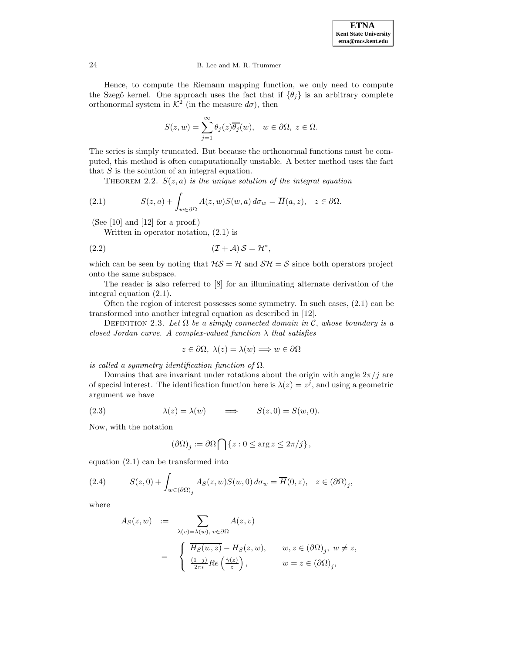

Hence, to compute the Riemann mapping function, we only need to compute the Szegő kernel. One approach uses the fact that if  $\{\theta_i\}$  is an arbitrary complete orthonormal system in  $K^2$  (in the measure  $d\sigma$ ), then

$$
S(z, w) = \sum_{j=1}^{\infty} \theta_j(z) \overline{\theta_j}(w), \quad w \in \partial \Omega, \ z \in \Omega.
$$

The series is simply truncated. But because the orthonormal functions must be computed, this method is often computationally unstable. A better method uses the fact that  $S$  is the solution of an integral equation.

THEOREM 2.2.  $S(z, a)$  is the unique solution of the integral equation

(2.1) 
$$
S(z, a) + \int_{w \in \partial \Omega} A(z, w) S(w, a) d\sigma_w = \overline{H}(a, z), \quad z \in \partial \Omega.
$$

(See [10] and [12] for a proof.)

Written in operator notation, (2.1) is

(I + A) S = H<sup>∗</sup> (2.2) ,

which can be seen by noting that  $H\mathcal{S} = \mathcal{H}$  and  $\mathcal{SH} = \mathcal{S}$  since both operators project onto the same subspace.

The reader is also referred to [8] for an illuminating alternate derivation of the integral equation (2.1).

Often the region of interest possesses some symmetry. In such cases, (2.1) can be transformed into another integral equation as described in [12].

DEFINITION 2.3. Let  $\Omega$  be a simply connected domain in C, whose boundary is a closed Jordan curve. A complex-valued function  $\lambda$  that satisfies

$$
z \in \partial \Omega, \ \lambda(z) = \lambda(w) \Longrightarrow w \in \partial \Omega
$$

is called a symmetry identification function of  $\Omega$ .

Domains that are invariant under rotations about the origin with angle  $2\pi/j$  are of special interest. The identification function here is  $\lambda(z) = z^{j}$ , and using a geometric argument we have

(2.3) 
$$
\lambda(z) = \lambda(w) \qquad \Longrightarrow \qquad S(z,0) = S(w,0).
$$

Now, with the notation

$$
\left(\partial\Omega\right)_j:=\partial\Omega\bigcap\left\{z:0\leq {\rm arg}\,z\leq 2\pi/j\right\},
$$

equation (2.1) can be transformed into

(2.4) 
$$
S(z,0) + \int_{w \in (\partial \Omega)_j} A_S(z,w)S(w,0) d\sigma_w = \overline{H}(0,z), \quad z \in (\partial \Omega)_j,
$$

where

$$
A_S(z, w) := \sum_{\lambda(v) = \lambda(w), v \in \partial \Omega} A(z, v)
$$
  
= 
$$
\begin{cases} \overline{H_S(w, z)} - H_S(z, w), & w, z \in (\partial \Omega)_j, w \neq z, \\ \frac{(1-j)}{2\pi i} Re\left(\frac{\dot{\gamma}(z)}{z}\right), & w = z \in (\partial \Omega)_j, \end{cases}
$$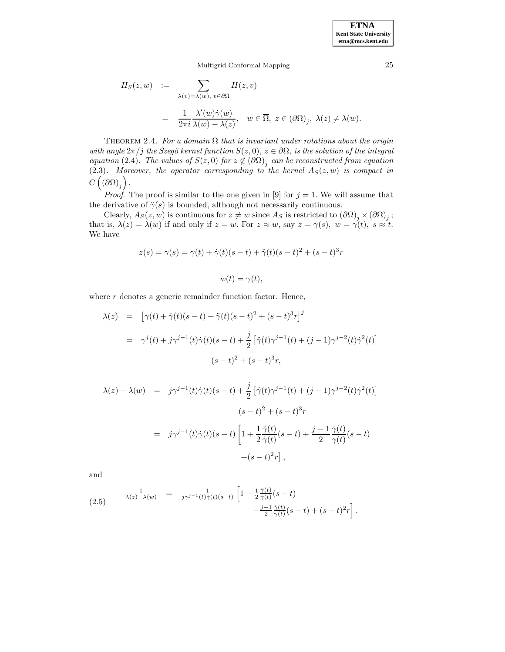.

Multigrid Conformal Mapping 25

$$
H_S(z, w) := \sum_{\lambda(v) = \lambda(w), v \in \partial \Omega} H(z, v)
$$
  
= 
$$
\frac{1}{2\pi i} \frac{\lambda'(w)\dot{\gamma}(w)}{\lambda(w) - \lambda(z)}, \quad w \in \overline{\Omega}, z \in (\partial \Omega)_j, \lambda(z) \neq \lambda(w).
$$

THEOREM 2.4. For a domain  $\Omega$  that is invariant under rotations about the origin with angle  $2\pi/j$  the Szegő kernel function  $S(z, 0), z \in \partial\Omega$ , is the solution of the integral equation (2.4). The values of  $S(z, 0)$  for  $z \notin (\partial \Omega)_j$  can be reconstructed from equation  $(2.3)$ . Moreover, the operator corresponding to the kernel  $A_S(z,w)$  is compact in  $C\left( \left( \partial\Omega\right) _{j}\right) .$ 

*Proof.* The proof is similar to the one given in [9] for  $j = 1$ . We will assume that the derivative of  $\ddot{\gamma}(s)$  is bounded, although not necessarily continuous.

Clearly,  $A_S(z,w)$  is continuous for  $z \neq w$  since  $A_S$  is restricted to  $(\partial \Omega)_j \times (\partial \Omega)_j$ ; that is,  $\lambda(z) = \lambda(w)$  if and only if  $z = w$ . For  $z \approx w$ , say  $z = \gamma(s)$ ,  $w = \gamma(t)$ ,  $s \approx t$ . We have

$$
z(s) = \gamma(s) = \gamma(t) + \dot{\gamma}(t)(s-t) + \ddot{\gamma}(t)(s-t)^{2} + (s-t)^{3}r
$$

$$
w(t) = \gamma(t),
$$

where  $r$  denotes a generic remainder function factor. Hence,

$$
\lambda(z) = [\gamma(t) + \dot{\gamma}(t)(s-t) + \ddot{\gamma}(t)(s-t)^2 + (s-t)^3 r]^j
$$
  
= 
$$
\gamma^j(t) + j\gamma^{j-1}(t)\dot{\gamma}(t)(s-t) + \frac{j}{2} [\ddot{\gamma}(t)\gamma^{j-1}(t) + (j-1)\gamma^{j-2}(t)\dot{\gamma}^2(t)]
$$
  

$$
(s-t)^2 + (s-t)^3 r,
$$

$$
\lambda(z) - \lambda(w) = j\gamma^{j-1}(t)\dot{\gamma}(t)(s-t) + \frac{j}{2} \left[ \ddot{\gamma}(t)\gamma^{j-1}(t) + (j-1)\gamma^{j-2}(t)\dot{\gamma}^2(t) \right]
$$

$$
(s-t)^2 + (s-t)^3r
$$

$$
= j\gamma^{j-1}(t)\dot{\gamma}(t)(s-t) \left[ 1 + \frac{1}{2} \frac{\ddot{\gamma}(t)}{\dot{\gamma}(t)}(s-t) + \frac{j-1}{2} \frac{\dot{\gamma}(t)}{\gamma(t)}(s-t) + (s-t)^2r \right],
$$

and

(2.5) 
$$
\frac{1}{\lambda(z) - \lambda(w)} = \frac{1}{j\gamma^{j-1}(t)\dot{\gamma}(t)(s-t)} \left[ 1 - \frac{1}{2} \frac{\ddot{\gamma}(t)}{\dot{\gamma}(t)}(s-t) - \frac{j-1}{2} \frac{\dot{\gamma}(t)}{\gamma(t)}(s-t) + (s-t)^2 r \right]
$$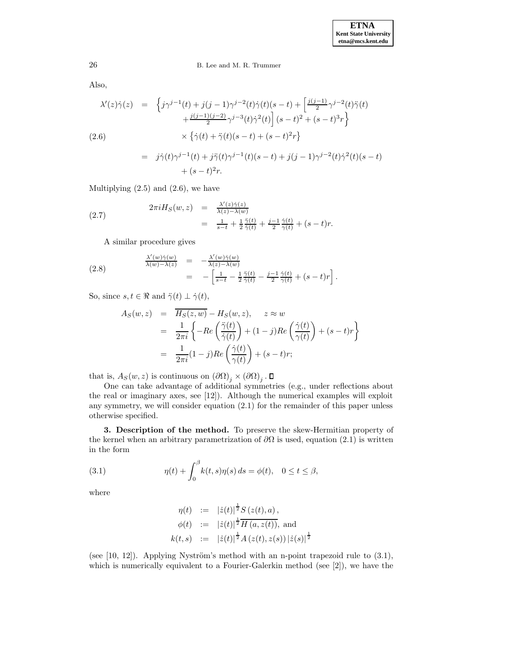Also,

$$
\lambda'(z)\dot{\gamma}(z) = \left\{ j\gamma^{j-1}(t) + j(j-1)\gamma^{j-2}(t)\dot{\gamma}(t)(s-t) + \left[ \frac{j(j-1)}{2}\gamma^{j-2}(t)\ddot{\gamma}(t) \right. \\ \left. + \frac{j(j-1)(j-2)}{2}\gamma^{j-3}(t)\dot{\gamma}^{2}(t) \right] (s-t)^{2} + (s-t)^{3}r \right\}
$$
\n
$$
(2.6) \qquad \qquad \times \left\{ \dot{\gamma}(t) + \ddot{\gamma}(t)(s-t) + (s-t)^{2}r \right\}
$$
\n
$$
= j\dot{\gamma}(t)\gamma^{j-1}(t) + j\ddot{\gamma}(t)\gamma^{j-1}(t)(s-t) + j(j-1)\gamma^{j-2}(t)\dot{\gamma}^{2}(t)(s-t) + (s-t)^{2}r.
$$

Multiplying  $(2.5)$  and  $(2.6)$ , we have

(2.7) 
$$
2\pi i H_S(w, z) = \frac{\lambda'(z)\dot{\gamma}(z)}{\lambda(z) - \lambda(w)} = \frac{1}{s-t} + \frac{1}{2}\frac{\ddot{\gamma}(t)}{\dot{\gamma}(t)} + \frac{j-1}{2}\frac{\dot{\gamma}(t)}{\gamma(t)} + (s-t)r.
$$

A similar procedure gives

(2.8) 
$$
\frac{\lambda'(w)\dot{\gamma}(w)}{\lambda(w)-\lambda(z)} = -\frac{\lambda'(w)\dot{\gamma}(w)}{\lambda(z)-\lambda(w)} \n= -\left[\frac{1}{s-t} - \frac{1}{2}\frac{\ddot{\gamma}(t)}{\dot{\gamma}(t)} - \frac{j-1}{2}\frac{\dot{\gamma}(t)}{\gamma(t)} + (s-t)r\right].
$$

So, since  $s, t \in \Re$  and  $\ddot{\gamma}(t) \perp \dot{\gamma}(t)$ ,

$$
A_S(w, z) = \overline{H_S(z, w)} - H_S(w, z), \quad z \approx w
$$
  
= 
$$
\frac{1}{2\pi i} \left\{ -Re\left(\frac{\ddot{\gamma}(t)}{\dot{\gamma}(t)}\right) + (1 - j)Re\left(\frac{\dot{\gamma}(t)}{\gamma(t)}\right) + (s - t)r \right\}
$$
  
= 
$$
\frac{1}{2\pi i} (1 - j) Re\left(\frac{\dot{\gamma}(t)}{\gamma(t)}\right) + (s - t)r;
$$

that is,  $A_S(w, z)$  is continuous on  $(\partial \Omega)_i \times (\partial \Omega)_i$ .  $\square$ 

One can take advantage of additional symmetries (e.g., under reflections about the real or imaginary axes, see [12]). Although the numerical examples will exploit any symmetry, we will consider equation (2.1) for the remainder of this paper unless otherwise specified.

**3. Description of the method.** To preserve the skew-Hermitian property of the kernel when an arbitrary parametrization of  $\partial\Omega$  is used, equation (2.1) is written in the form

(3.1) 
$$
\eta(t) + \int_0^\beta k(t,s)\eta(s) ds = \phi(t), \quad 0 \le t \le \beta,
$$

where

$$
\eta(t) := | \dot{z}(t) |^{\frac{1}{2}} S(z(t), a),
$$
  
\n
$$
\phi(t) := | \dot{z}(t) |^{\frac{1}{2}} H(a, z(t)), \text{ and}
$$
  
\n
$$
k(t, s) := | \dot{z}(t) |^{\frac{1}{2}} A(z(t), z(s)) | \dot{z}(s) |^{\frac{1}{2}}
$$

(see  $[10, 12]$ ). Applying Nyström's method with an n-point trapezoid rule to  $(3.1)$ , which is numerically equivalent to a Fourier-Galerkin method (see [2]), we have the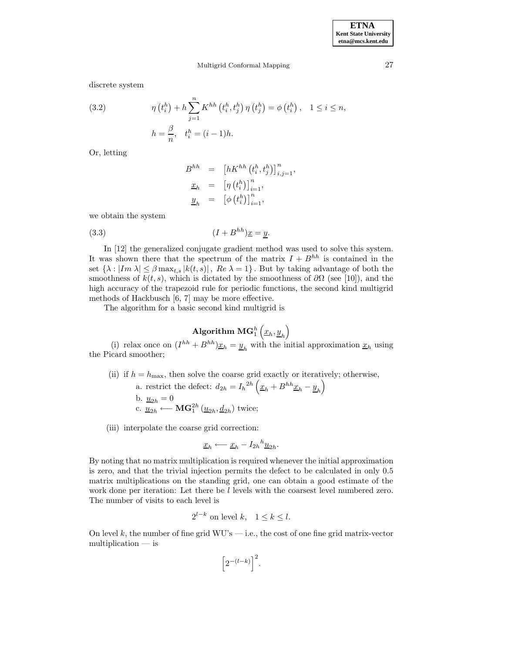discrete system

(3.2) 
$$
\eta(t_i^h) + h \sum_{j=1}^n K^{hh} (t_i^h, t_j^h) \eta(t_j^h) = \phi(t_i^h), \quad 1 \le i \le n,
$$

$$
h = \frac{\beta}{n}, \quad t_i^h = (i-1)h.
$$

Or, letting

$$
B^{hh} = [hK^{hh} (t_i^h, t_j^h)]_{i,j=1}^n,
$$
  
\n
$$
\underline{x}_h = [\eta (t_i^h)]_{i=1}^n,
$$
  
\n
$$
\underline{y}_h = [\phi (t_i^h)]_{i=1}^n,
$$

we obtain the system

$$
(3.3) \t\t\t (I + B^{hh})\underline{x} = y.
$$

In [12] the generalized conjugate gradient method was used to solve this system. It was shown there that the spectrum of the matrix  $I + B^{hh}$  is contained in the set  $\{\lambda : |Im \lambda| \leq \beta \max_{t,s} |k(t,s)|$ ,  $Re \lambda = 1\}$ . But by taking advantage of both the smoothness of  $k(t, s)$ , which is dictated by the smoothness of  $\partial\Omega$  (see [10]), and the high accuracy of the trapezoid rule for periodic functions, the second kind multigrid methods of Hackbusch [6, 7] may be more effective.

The algorithm for a basic second kind multigrid is

# $\mathbf{Algorithm~MG}_1^h\left(\underline{x}_h,\underline{y}_h\right)$

(i) relax once on  $(I^{hh} + B^{hh})\underline{x}_h = \underline{y}_h$  with the initial approximation  $\underline{x}_h$  using the Picard smoother;

(ii) if  $h = h_{\text{max}}$ , then solve the coarse grid exactly or iteratively; otherwise,

a. restrict the defect:  $d_{2h} = I_h^{2h} \left( \underline{x}_h + B^{hh} \underline{x}_h - \underline{y}_h \right)$ b.  $\underline{u}_{2h} = 0$ c.  $\overline{u}_{2h}$  ← **MG**<sup>2h</sup><sub>1</sub> $(\underline{u}_{2h}, \underline{d}_{2h})$  twice;

(iii) interpolate the coarse grid correction:

$$
\underline{x}_h \longleftarrow \underline{x}_h - I_{2h}{}^h \underline{u}_{2h}.
$$

By noting that no matrix multiplication is required whenever the initial approximation is zero, and that the trivial injection permits the defect to be calculated in only 0.5 matrix multiplications on the standing grid, one can obtain a good estimate of the work done per iteration: Let there be l levels with the coarsest level numbered zero. The number of visits to each level is

$$
2^{l-k} \text{ on level } k, \quad 1 \le k \le l.
$$

On level k, the number of fine grid  $WU's$  — i.e., the cost of one fine grid matrix-vector multiplication — is

$$
\bigg[2^{-(l-k)}\bigg]^2.
$$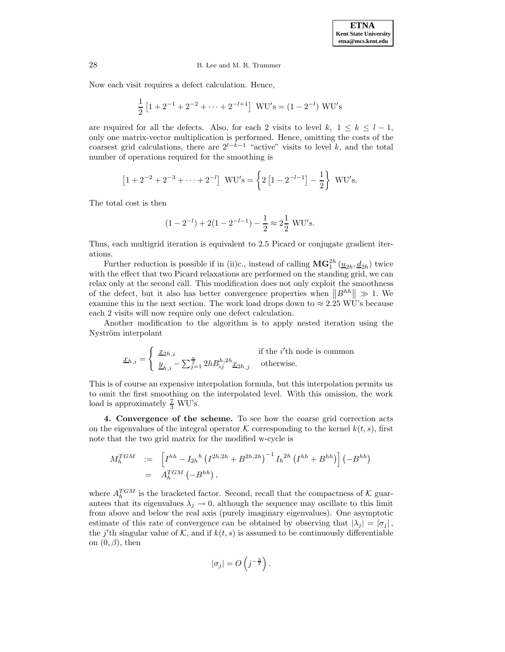Now each visit requires a defect calculation. Hence,

$$
\frac{1}{2} [1 + 2^{-1} + 2^{-2} + \dots + 2^{-l+1}]
$$
 WU's = (1 – 2<sup>-l</sup>) WU's

are required for all the defects. Also, for each 2 visits to level k,  $1 \leq k \leq l-1$ , only one matrix-vector multiplication is performed. Hence, omitting the costs of the coarsest grid calculations, there are  $2^{l-k-1}$  "active" visits to level k, and the total number of operations required for the smoothing is

$$
[1 + 2^{-2} + 2^{-3} + \dots + 2^{-l}] \quad \text{WU's} = \left\{ 2 \left[ 1 - 2^{-l-1} \right] - \frac{1}{2} \right\} \quad \text{WU's.}
$$

The total cost is then

$$
(1 - 2^{-l}) + 2(1 - 2^{-l-1}) - \frac{1}{2} \approx 2\frac{1}{2}
$$
 WU's.

Thus, each multigrid iteration is equivalent to 2.5 Picard or conjugate gradient iterations.

Further reduction is possible if in (ii)c., instead of calling  $\mathbf{MG}_1^{2h}(\underline{u}_{2h},\underline{d}_{2h})$  twice with the effect that two Picard relaxations are performed on the standing grid, we can relax only at the second call. This modification does not only exploit the smoothness of the defect, but it also has better convergence properties when  $||B^{hh}|| \gg 1$ . We examine this in the next section. The work load drops down to  $\approx 2.25$  WU's because each 2 visits will now require only one defect calculation.

Another modification to the algorithm is to apply nested iteration using the Nyström interpolant

$$
\underline{x}_{h,i} = \left\{ \begin{array}{ll} \underline{x}_{2h,i} & \mbox{if the $i' \text{th node is common}}\\ \underline{y}_{h,i} - \sum_{j=1}^{\frac{n}{2}} 2h B_{ij}^{h,2h} \underline{x}_{2h,j} & \mbox{otherwise.} \end{array} \right.
$$

This is of course an expensive interpolation formula, but this interpolation permits us to omit the first smoothing on the interpolated level. With this omission, the work load is approximately  $\frac{7}{3}$  WU's.

**4. Convergence of the scheme.** To see how the coarse grid correction acts on the eigenvalues of the integral operator K corresponding to the kernel  $k(t, s)$ , first note that the two grid matrix for the modified w-cycle is

$$
M_h^{TGM} \quad := \quad \left[ I^{hh} - I_{2h}{}^h \left( I^{2h,2h} + B^{2h,2h} \right)^{-1} I_h^{2h} \left( I^{hh} + B^{hh} \right) \right] \left( -B^{hh} \right) = \quad A_h^{TGM} \left( -B^{hh} \right),
$$

where  $A_h^{TGM}$  is the bracketed factor. Second, recall that the compactness of K guarantees that its eigenvalues  $\lambda_j \to 0$ , although the sequence may oscillate to this limit from above and below the real axis (purely imaginary eigenvalues). One asymptotic estimate of this rate of convergence can be obtained by observing that  $|\lambda_i| = |\sigma_i|$ , the j'th singular value of K, and if  $k(t, s)$  is assumed to be continuously differentiable on  $(0, \beta)$ , then

$$
|\sigma_j|=O\left(j^{-\frac{3}{2}}\right).
$$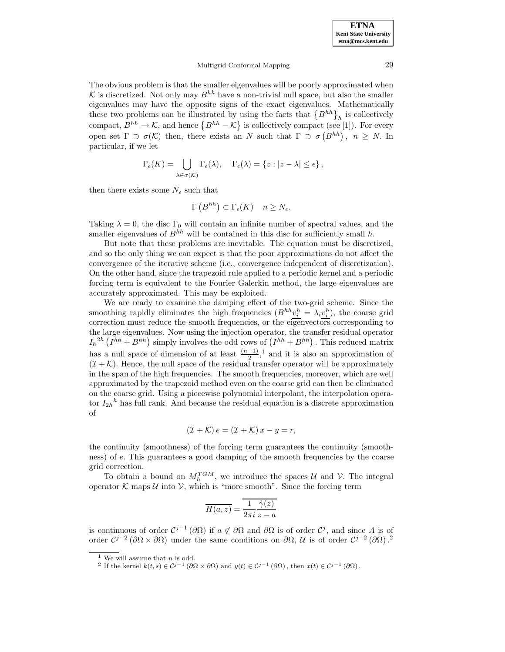The obvious problem is that the smaller eigenvalues will be poorly approximated when  $K$  is discretized. Not only may  $B^{hh}$  have a non-trivial null space, but also the smaller eigenvalues may have the opposite signs of the exact eigenvalues. Mathematically these two problems can be illustrated by using the facts that  $\{B^{hh}\}_h$  is collectively compact,  $B^{hh} \to \mathcal{K}$ , and hence  $\{B^{hh} - \mathcal{K}\}\$ is collectively compact (see [1]). For every open set  $\Gamma \supset \sigma(\mathcal{K})$  then, there exists an N such that  $\Gamma \supset \sigma(B^{hh})$ ,  $n \geq N$ . In particular, if we let

$$
\Gamma_{\epsilon}(K) = \bigcup_{\lambda \in \sigma(K)} \Gamma_{\epsilon}(\lambda), \quad \Gamma_{\epsilon}(\lambda) = \{z : |z - \lambda| \leq \epsilon\},
$$

then there exists some  $N_{\epsilon}$  such that

$$
\Gamma\left(B^{hh}\right) \subset \Gamma_{\epsilon}(K) \quad n \ge N_{\epsilon}.
$$

Taking  $\lambda = 0$ , the disc  $\Gamma_0$  will contain an infinite number of spectral values, and the smaller eigenvalues of  $B^{hh}$  will be contained in this disc for sufficiently small h.

But note that these problems are inevitable. The equation must be discretized, and so the only thing we can expect is that the poor approximations do not affect the convergence of the iterative scheme (i.e., convergence independent of discretization). On the other hand, since the trapezoid rule applied to a periodic kernel and a periodic forcing term is equivalent to the Fourier Galerkin method, the large eigenvalues are accurately approximated. This may be exploited.

We are ready to examine the damping effect of the two-grid scheme. Since the smoothing rapidly eliminates the high frequencies  $(B^{hh}v_i^h = \lambda_i v_i^h)$ , the coarse grid correction must reduce the smooth frequencies, or the eigenvectors corresponding to the large eigenvalues. Now using the injection operator, the transfer residual operator  $I_h^{2h} (I^{hh} + B^{hh})$  simply involves the odd rows of  $(I^{hh} + B^{hh})$ . This reduced matrix has a null space of dimension of at least  $\frac{(n-1)}{2}$ ,<sup>1</sup> and it is also an approximation of  $(\mathcal{I} + \mathcal{K})$ . Hence, the null space of the residual transfer operator will be approximately in the span of the high frequencies. The smooth frequencies, moreover, which are well approximated by the trapezoid method even on the coarse grid can then be eliminated on the coarse grid. Using a piecewise polynomial interpolant, the interpolation operator  $I_{2h}^h$  has full rank. And because the residual equation is a discrete approximation of

$$
(\mathcal{I} + \mathcal{K}) e = (\mathcal{I} + \mathcal{K}) x - y = r,
$$

the continuity (smoothness) of the forcing term guarantees the continuity (smoothness) of e. This guarantees a good damping of the smooth frequencies by the coarse grid correction.

To obtain a bound on  $M_h^{TGM}$ , we introduce the spaces U and V. The integral operator  $\mathcal K$  maps  $\mathcal U$  into  $\mathcal V$ , which is "more smooth". Since the forcing term

$$
\overline{H(a,z)} = \overline{\frac{1}{2\pi i} \frac{\dot{\gamma}(z)}{z-a}}
$$

is continuous of order  $C^{j-1}(\partial\Omega)$  if  $a \notin \partial\Omega$  and  $\partial\Omega$  is of order  $C^j$ , and since A is of order  $\mathcal{C}^{j-2}(\partial\Omega\times\partial\Omega)$  under the same conditions on  $\partial\Omega$ , U is of order  $\mathcal{C}^{j-2}(\partial\Omega)$ .<sup>2</sup>

<sup>&</sup>lt;sup>1</sup> We will assume that *n* is odd.

<sup>&</sup>lt;sup>2</sup> If the kernel  $k(t, s) \in C^{j-1}(\partial \Omega \times \partial \Omega)$  and  $y(t) \in C^{j-1}(\partial \Omega)$ , then  $x(t) \in C^{j-1}(\partial \Omega)$ .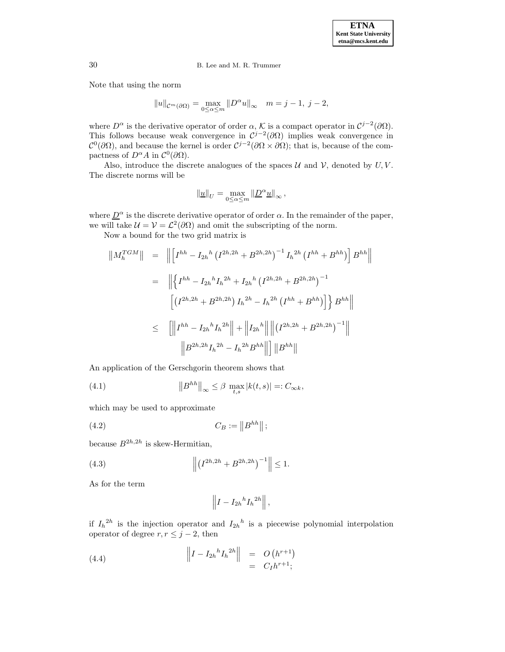Note that using the norm

$$
||u||_{\mathcal{C}^m(\partial\Omega)} = \max_{0 \le \alpha \le m} ||D^{\alpha}u||_{\infty} \quad m = j - 1, \ j - 2,
$$

where  $D^{\alpha}$  is the derivative operator of order  $\alpha$ , K is a compact operator in  $\mathcal{C}^{j-2}(\partial\Omega)$ . This follows because weak convergence in  $C^{j-2}(\partial\Omega)$  implies weak convergence in  $\mathcal{C}^0(\partial\Omega)$ , and because the kernel is order  $\mathcal{C}^{j-2}(\partial\Omega\times\partial\Omega)$ ; that is, because of the compactness of  $D^{\alpha}A$  in  $\mathcal{C}^0(\partial\Omega)$ .

Also, introduce the discrete analogues of the spaces  $\mathcal U$  and  $\mathcal V$ , denoted by  $U, V$ . The discrete norms will be

$$
\|\underline{u}\|_U = \max_{0\leq \alpha\leq m} \|\underline{D}^\alpha \underline{u}\|_\infty \,,
$$

where  $\underline{D}^{\alpha}$  is the discrete derivative operator of order  $\alpha$ . In the remainder of the paper, we will take  $\mathcal{U} = \mathcal{V} = \mathcal{L}^2(\partial\Omega)$  and omit the subscripting of the norm.

Now a bound for the two grid matrix is

$$
\|M_h^{TGM}\| = \| \left[I^{hh} - I_{2h}{}^h (I^{2h,2h} + B^{2h,2h})^{-1} I_h{}^{2h} (I^{hh} + B^{hh})\right] B^{hh} \|
$$
  

$$
= \| \left\{I^{hh} - I_{2h}{}^h I_h{}^{2h} + I_{2h}{}^h (I^{2h,2h} + B^{2h,2h})^{-1} \right\}
$$
  

$$
\left[ \left(I^{2h,2h} + B^{2h,2h}\right) I_h{}^{2h} - I_h{}^{2h} (I^{hh} + B^{hh}) \right] \right\} B^{hh} \|
$$
  

$$
\leq \left[ \left\|I^{hh} - I_{2h}{}^h I_h{}^{2h} \right\| + \left\|I_{2h}{}^h \right\| \left\| \left(I^{2h,2h} + B^{2h,2h}\right)^{-1} \right\|
$$
  

$$
\left\| B^{2h,2h} I_h{}^{2h} - I_h{}^{2h} B^{hh} \right\| \right] \|B^{hh} \|
$$

An application of the Gerschgorin theorem shows that

(4.1) 
$$
\left\|B^{hh}\right\|_{\infty} \leq \beta \max_{t,s} |k(t,s)| =: C_{\infty k},
$$

which may be used to approximate

(4.2) 
$$
C_B := ||B^{hh}||;
$$

because  $B^{2h,2h}$  is skew-Hermitian,

(4.3) 
$$
\left\| \left( I^{2h,2h} + B^{2h,2h} \right)^{-1} \right\| \le 1.
$$

As for the term

$$
\left\|I - I_{2h}{}^h I_h{}^{2h}\right\|,
$$

if  $I_h^{2h}$  is the injection operator and  $I_{2h}^{h}$  is a piecewise polynomial interpolation operator of degree  $r, r \leq j - 2$ , then

(4.4) 
$$
\left\| I - I_{2h}{}^{h} I_{h}{}^{2h} \right\| = O(h^{r+1})
$$

$$
= C_I h^{r+1};
$$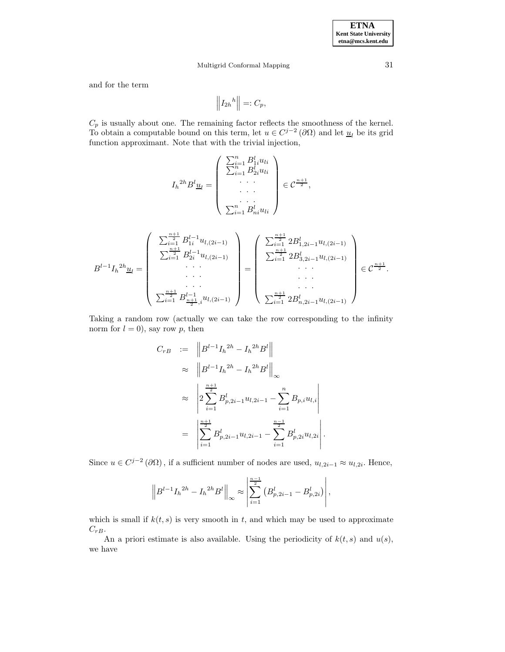and for the term

$$
\left\| I_{2h}{}^{h} \right\| =: C_p,
$$

 $C_p$  is usually about one. The remaining factor reflects the smoothness of the kernel. To obtain a computable bound on this term, let  $u \in C^{j-2}(\partial \Omega)$  and let  $\underline{u}_l$  be its grid function approximant. Note that with the trivial injection,

$$
I_h^{2h} B^l \underline{u}_l = \begin{pmatrix} \sum_{i=1}^n B^l_{1i} u_{li} \\ \sum_{i=1}^n B^l_{2i} u_{li} \\ \vdots \\ \sum_{i=1}^n B^l_{ni} u_{li} \end{pmatrix} \in \mathcal{C}^{\frac{n+1}{2}},
$$

$$
B^{l-1}I_{h}^{2h}\underline{u}_{l} = \begin{pmatrix} \sum_{i=1}^{\frac{n+1}{2}} B_{1i}^{l-1}u_{l,(2i-1)} \\ \sum_{i=1}^{\frac{n+1}{2}} B_{2i}^{l-1}u_{l,(2i-1)} \\ \cdots \\ \sum_{i=1}^{\frac{n+1}{2}} B_{\frac{n+1}{2},i}^{l-1}u_{l,(2i-1)} \end{pmatrix} = \begin{pmatrix} \sum_{i=1}^{\frac{n+1}{2}} 2B_{1,2i-1}^{l}u_{l,(2i-1)} \\ \sum_{i=1}^{\frac{n+1}{2}} 2B_{3,2i-1}^{l}u_{l,(2i-1)} \\ \cdots \\ \sum_{i=1}^{\frac{n+1}{2}} 2B_{n,2i-1}^{l}u_{l,(2i-1)} \end{pmatrix} \in \mathcal{C}^{\frac{n+1}{2}}.
$$

Taking a random row (actually we can take the row corresponding to the infinity norm for  $l = 0$ ), say row p, then

$$
C_{rB} := \|B^{l-1}I_h{}^{2h} - I_h{}^{2h}B^l\|
$$
  
\n
$$
\approx \|B^{l-1}I_h{}^{2h} - I_h{}^{2h}B^l\|_{\infty}
$$
  
\n
$$
\approx \left|2\sum_{i=1}^{\frac{n+1}{2}} B_{p,2i-1}^l u_{l,2i-1} - \sum_{i=1}^n B_{p,i} u_{l,i}\right|
$$
  
\n
$$
= \left|\sum_{i=1}^{\frac{n+1}{2}} B_{p,2i-1}^l u_{l,2i-1} - \sum_{i=1}^{\frac{n-1}{2}} B_{p,2i}^l u_{l,2i}\right|.
$$

Since  $u \in C^{j-2}(\partial\Omega)$ , if a sufficient number of nodes are used,  $u_{l,2i-1} \approx u_{l,2i}$ . Hence,

$$
\left\|B^{l-1}I_h{}^{2h} - I_h{}^{2h}B^l\right\|_{\infty} \approx \left|\sum_{i=1}^{\frac{n-1}{2}} \left(B_{p,2i-1}^l - B_{p,2i}^l\right)\right|,
$$

which is small if  $k(t, s)$  is very smooth in t, and which may be used to approximate  $C_{rB}$ .

An a priori estimate is also available. Using the periodicity of  $k(t, s)$  and  $u(s)$ , we have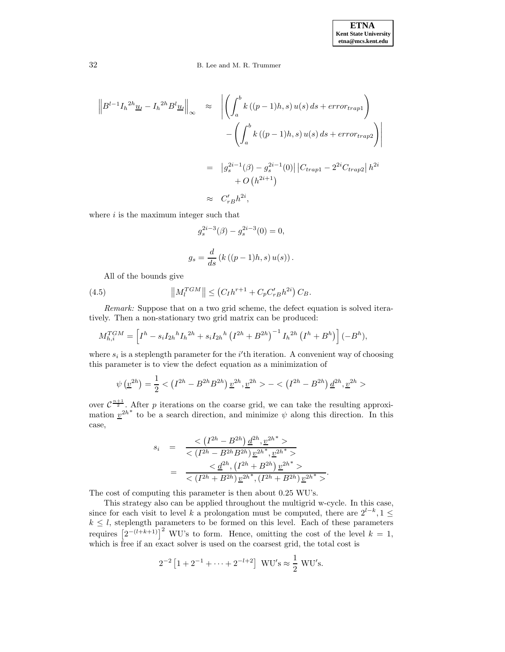$$
\left\| B^{l-1} I_h^{2h} \underline{u}_l - I_h^{2h} B^l \underline{u}_l \right\|_{\infty} \approx \left\| \left( \int_a^b k \left( (p-1)h, s \right) u(s) \, ds + error_{trap1} \right) - \left( \int_a^b k \left( (p-1)h, s \right) u(s) \, ds + error_{trap2} \right) \right\|
$$

$$
= \left| g_s^{2i-1}(\beta) - g_s^{2i-1}(0) \right| \left| C_{trap1} - 2^{2i} C_{trap2} \right| h^{2i} + O\left( h^{2i+1} \right)
$$

$$
\approx C'_{r} h^{2i},
$$

where  $i$  is the maximum integer such that

$$
g_s^{2i-3}(\beta) - g_s^{2i-3}(0) = 0,
$$
  

$$
g_s = \frac{d}{ds} (k ((p-1)h, s) u(s)).
$$

All of the bounds give

(4.5) 
$$
||M_l^{TGM}|| \leq (C_I h^{r+1} + C_p C'_{rB} h^{2i}) C_B.
$$

Remark: Suppose that on a two grid scheme, the defect equation is solved iteratively. Then a non-stationary two grid matrix can be produced:

$$
M_{h,i}^{TGM} = \left[ I^h - s_i I_{2h}{}^h I_h{}^{2h} + s_i I_{2h}{}^h (I^{2h} + B^{2h})^{-1} I_h{}^{2h} (I^h + B^h) \right] (-B^h),
$$

where  $s_i$  is a steplength parameter for the i'th iteration. A convenient way of choosing this parameter is to view the defect equation as a minimization of

$$
\psi\left(\underline{v}^{2h}\right) = \frac{1}{2} < \left(I^{2h} - B^{2h}B^{2h}\right)\underline{v}^{2h}, \underline{v}^{2h} > - < \left(I^{2h} - B^{2h}\right)\underline{d}^{2h}, \underline{v}^{2h} > \left(I^{2h} - B^{2h}\right)\underline{d}^{2h}
$$

over  $C^{\frac{n+1}{2}}$ . After p iterations on the coarse grid, we can take the resulting approximation  $v^{2h^*}$  to be a search direction, and minimize  $\psi$  along this direction. In this case,

$$
s_i = \frac{<(I^{2h} - B^{2h}) \underline{d}^{2h}, \underline{v}^{2h^*} >}{<(I^{2h} - B^{2h}) \underline{v}^{2h^*,} \underline{v}^{2h^*} >} = \frac{<\underline{d}^{2h}, (I^{2h} + B^{2h}) \underline{v}^{2h^*} >}{<(I^{2h} + B^{2h}) \underline{v}^{2h^*,} (I^{2h} + B^{2h}) \underline{v}^{2h^*} >}.
$$

The cost of computing this parameter is then about 0.25 WU's.

This strategy also can be applied throughout the multigrid w-cycle. In this case, since for each visit to level k a prolongation must be computed, there are  $2^{l-k}$ , 1 ≤  $k \leq l$ , steplength parameters to be formed on this level. Each of these parameters requires  $\left[2^{-(l+k+1)}\right]^2$  WU's to form. Hence, omitting the cost of the level  $k = 1$ , which is free if an exact solver is used on the coarsest grid, the total cost is

$$
2^{-2} [1 + 2^{-1} + \dots + 2^{-l+2}]
$$
 WU's  $\approx \frac{1}{2}$  WU's.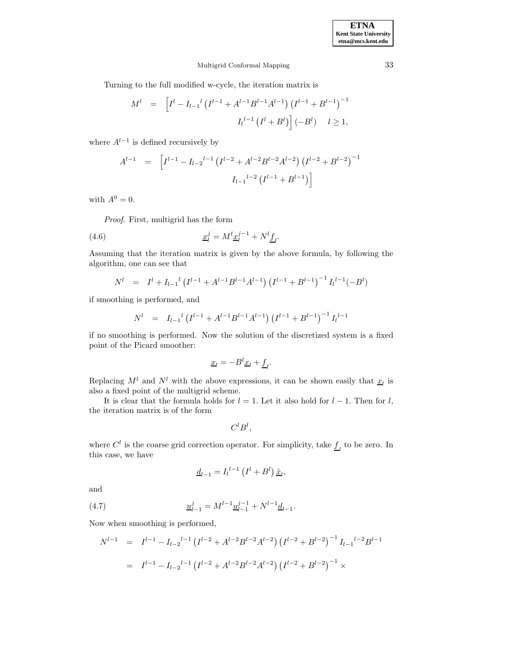Turning to the full modified w-cycle, the iteration matrix is

$$
M^{l} = \left[ I^{l} - I_{l-1}^{l} \left( I^{l-1} + A^{l-1} B^{l-1} A^{l-1} \right) \left( I^{l-1} + B^{l-1} \right)^{-1} \right]
$$

$$
I_{l}^{l-1} \left( I^{l} + B^{l} \right) \right] (-B^{l}) \quad l \ge 1,
$$

where  $A^{l-1}$  is defined recursively by

$$
A^{l-1} = \left[ I^{l-1} - I_{l-2}{}^{l-1} \left( I^{l-2} + A^{l-2} B^{l-2} A^{l-2} \right) \left( I^{l-2} + B^{l-2} \right)^{-1} \right]
$$

$$
I_{l-1}{}^{l-2} \left( I^{l-1} + B^{l-1} \right)
$$

with  $A^0 = 0$ .

Proof. First, multigrid has the form

(4.6) 
$$
\underline{x}_l^j = M^l \underline{x}_l^{j-1} + N^l \underline{f}_l.
$$

Assuming that the iteration matrix is given by the above formula, by following the algorithm, one can see that

$$
N^{l} = I^{l} + I_{l-1}^{l} \left( I^{l-1} + A^{l-1} B^{l-1} A^{l-1} \right) \left( I^{l-1} + B^{l-1} \right)^{-1} I_{l}^{l-1} (-B^{l})
$$

if smoothing is performed, and

$$
N^{l} = I_{l-1}^{l} \left( I^{l-1} + A^{l-1} B^{l-1} A^{l-1} \right) \left( I^{l-1} + B^{l-1} \right)^{-1} I_{l}^{l-1}
$$

if no smoothing is performed. Now the solution of the discretized system is a fixed point of the Picard smoother:

$$
\underline{x}_l = -B^l \underline{x}_l + \underline{f}_l.
$$

Replacing  $M^l$  and  $N^l$  with the above expressions, it can be shown easily that  $\underline{x}_l$  is also a fixed point of the multigrid scheme.

It is clear that the formula holds for  $l = 1$ . Let it also hold for  $l - 1$ . Then for l, the iteration matrix is of the form

$$
C^l B^l,
$$

where  $C^l$  is the coarse grid correction operator. For simplicity, take  $\underline{f}_l$  to be zero. In this case, we have

$$
\underline{d}_{l-1} = I_l^{l-1} \left( I^l + B^l \right) \hat{\underline{x}}_l,
$$

and

(4.7) 
$$
\underline{u}_{l-1}^j = M^{l-1} \underline{u}_{l-1}^{j-1} + N^{l-1} \underline{d}_{l-1}.
$$

Now when smoothing is performed,

$$
N^{l-1} = I^{l-1} - I_{l-2}{}^{l-1} (I^{l-2} + A^{l-2} B^{l-2} A^{l-2}) (I^{l-2} + B^{l-2})^{-1} I_{l-1}{}^{l-2} B^{l-1}
$$
  
= 
$$
I^{l-1} - I_{l-2}{}^{l-1} (I^{l-2} + A^{l-2} B^{l-2} A^{l-2}) (I^{l-2} + B^{l-2})^{-1} \times
$$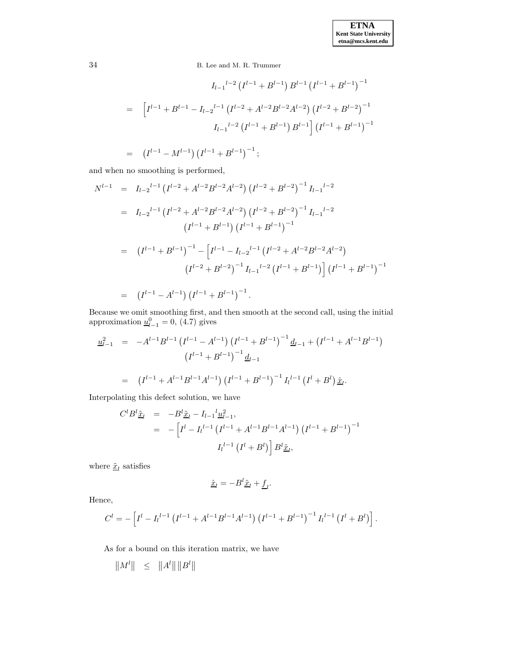$$
I_{l-1}^{l-2} (I^{l-1} + B^{l-1}) B^{l-1} (I^{l-1} + B^{l-1})^{-1}
$$
  
= 
$$
\left[ I^{l-1} + B^{l-1} - I_{l-2}^{l-1} (I^{l-2} + A^{l-2} B^{l-2} A^{l-2}) (I^{l-2} + B^{l-2})^{-1} \right]
$$

$$
I_{l-1}^{l-2} (I^{l-1} + B^{l-1}) B^{l-1} \right] (I^{l-1} + B^{l-1})^{-1}
$$
  
= 
$$
(I^{l-1} - M^{l-1}) (I^{l-1} + B^{l-1})^{-1};
$$

and when no smoothing is performed,

$$
N^{l-1} = I_{l-2}{}^{l-1} (I^{l-2} + A^{l-2}B^{l-2}A^{l-2}) (I^{l-2} + B^{l-2})^{-1} I_{l-1}{}^{l-2}
$$
  
\n
$$
= I_{l-2}{}^{l-1} (I^{l-2} + A^{l-2}B^{l-2}A^{l-2}) (I^{l-2} + B^{l-2})^{-1} I_{l-1}{}^{l-2}
$$
  
\n
$$
(I^{l-1} + B^{l-1}) (I^{l-1} + B^{l-1})^{-1}
$$
  
\n
$$
= (I^{l-1} + B^{l-1})^{-1} - [I^{l-1} - I_{l-2}{}^{l-1} (I^{l-2} + A^{l-2}B^{l-2}A^{l-2})
$$
  
\n
$$
(I^{l-2} + B^{l-2})^{-1} I_{l-1}{}^{l-2} (I^{l-1} + B^{l-1}) (I^{l-1} + B^{l-1})^{-1}
$$
  
\n
$$
= (I^{l-1} - A^{l-1}) (I^{l-1} + B^{l-1})^{-1}.
$$

Because we omit smoothing first, and then smooth at the second call, using the initial approximation  $\underline{u}_{l-1}^0 = 0$ , (4.7) gives

$$
\underline{u}_{l-1}^2 = -A^{l-1}B^{l-1} (I^{l-1} - A^{l-1}) (I^{l-1} + B^{l-1})^{-1} \underline{d}_{l-1} + (I^{l-1} + A^{l-1}B^{l-1})
$$

$$
(I^{l-1} + B^{l-1})^{-1} \underline{d}_{l-1}
$$

$$
= (I^{l-1} + A^{l-1}B^{l-1}A^{l-1}) (I^{l-1} + B^{l-1})^{-1} I_l^{l-1} (I^l + B^l) \hat{\underline{x}}_l.
$$

Interpolating this defect solution, we have

$$
C^{l} B^{l} \tilde{\underline{x}}_{l} = -B^{l} \tilde{\underline{x}}_{l} - I_{l-1}^{l} \underline{u}_{l-1}^{2},
$$
  
= 
$$
- \left[ I^{l} - I_{l}^{l-1} (I^{l-1} + A^{l-1} B^{l-1} A^{l-1}) (I^{l-1} + B^{l-1})^{-1} \right. \left. I_{l}^{l-1} (I^{l} + B^{l}) \right] B^{l} \tilde{\underline{x}}_{l},
$$

where  $\underline{\tilde{x}}_l$  satisfies

$$
\underline{\hat{x}}_l = -B^l \underline{\tilde{x}}_l + \underline{f}_l.
$$

Hence,

$$
C^{l} = -\left[I^{l} - I_{l}^{l-1} \left(I^{l-1} + A^{l-1} B^{l-1} A^{l-1}\right) \left(I^{l-1} + B^{l-1}\right)^{-1} I_{l}^{l-1} \left(I^{l} + B^{l}\right)\right].
$$

As for a bound on this iteration matrix, we have

 $\|M^l\|$   $\leq$   $\|A^l\| \|B^l\|$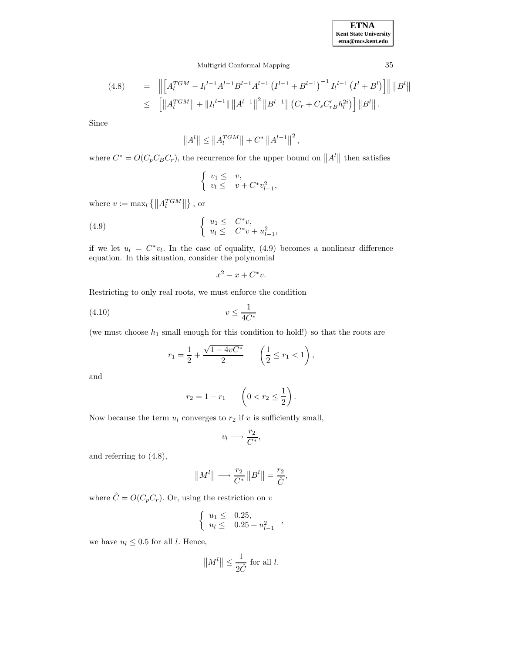**ETNA Kent State University etna@mcs.kent.edu**

Multigrid Conformal Mapping 35

$$
(4.8) = \| \left[ A_l^{TGM} - I_l^{l-1} A^{l-1} B^{l-1} A^{l-1} (I^{l-1} + B^{l-1})^{-1} I_l^{l-1} (I^l + B^l) \right] \| \| B^l \|
$$
  

$$
\leq \left[ \| A_l^{TGM} \| + \| I_l^{l-1} \| \| A^{l-1} \|^2 \| B^{l-1} \| (C_r + C_s C_r' B h_l^{2i}) \right] \| B^l \|.
$$

Since

$$
||Al|| \le ||AlTGM|| + C* ||Al-1||2,
$$

where  $C^* = O(C_p C_B C_r)$ , the recurrence for the upper bound on  $||A^l||$  then satisfies

$$
\begin{cases} v_1 \leq v, \\ v_l \leq v + C^* v_{l-1}^2, \end{cases}
$$

where  $v := \max_l \{ \|A_l^{TGM}\| \}$ , or

(4.9) 
$$
\begin{cases} u_1 \leq C^*v, \\ u_l \leq C^*v + u_{l-1}^2, \end{cases}
$$

if we let  $u_l = C^*v_l$ . In the case of equality, (4.9) becomes a nonlinear difference equation. In this situation, consider the polynomial

$$
x^2 - x + C^* v.
$$

Restricting to only real roots, we must enforce the condition

$$
(4.10)\qquad \qquad v \le \frac{1}{4C^*}
$$

(we must choose  $h_1$  small enough for this condition to hold!) so that the roots are

$$
r_1 = \frac{1}{2} + \frac{\sqrt{1 - 4vC^*}}{2} \qquad \left(\frac{1}{2} \le r_1 < 1\right),
$$

and

$$
r_2 = 1 - r_1 \qquad \left(0 < r_2 \le \frac{1}{2}\right).
$$

Now because the term  $u_l$  converges to  $r_2$  if v is sufficiently small,

$$
v_l \longrightarrow \frac{r_2}{C^*},
$$

and referring to (4.8),

$$
||M^{l}|| \longrightarrow \frac{r_2}{C^*} ||B^{l}|| = \frac{r_2}{\hat{C}},
$$

where  $\hat{C} = O(C_p C_r)$ . Or, using the restriction on v

$$
\left\{\n \begin{array}{ll}\n u_1 \leq & 0.25, \\
u_l \leq & 0.25 + u_{l-1}^2\n \end{array}\n\right.,
$$

we have  $u_l \leq 0.5$  for all l. Hence,

$$
||M^l|| \le \frac{1}{2\hat{C}} \text{ for all } l.
$$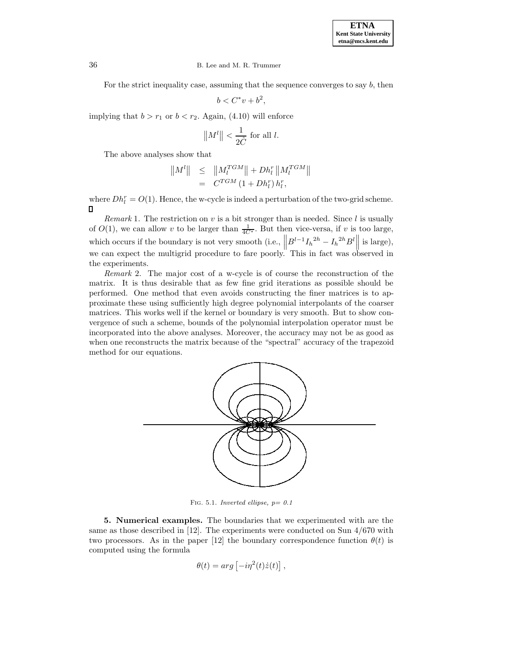For the strict inequality case, assuming that the sequence converges to say b, then

$$
b < C^*v + b^2,
$$

implying that  $b > r_1$  or  $b < r_2$ . Again, (4.10) will enforce

$$
||M^l|| < \frac{1}{2\hat{C}} \text{ for all } l.
$$

The above analyses show that

$$
||M^{l}|| \leq ||M_l^{TGM}|| + Dh_l^r ||M_l^{TGM}||
$$
  
=  $C^{TGM} (1 + Dh_l^r) h_l^r,$ 

where  $Dh_l^r = O(1)$ . Hence, the w-cycle is indeed a perturbation of the two-grid scheme.  $\Box$ 

*Remark* 1. The restriction on  $v$  is a bit stronger than is needed. Since l is usually of  $O(1)$ , we can allow v to be larger than  $\frac{1}{4C^*}$ . But then vice-versa, if v is too large, which occurs if the boundary is not very smooth (i.e.,  $||B^{l-1}I_h^{2h} - I_h^{2h}B^l||$  is large), we can expect the multigrid procedure to fare poorly. This in fact was observed in the experiments.

Remark 2. The major cost of a w-cycle is of course the reconstruction of the matrix. It is thus desirable that as few fine grid iterations as possible should be performed. One method that even avoids constructing the finer matrices is to approximate these using sufficiently high degree polynomial interpolants of the coarser matrices. This works well if the kernel or boundary is very smooth. But to show convergence of such a scheme, bounds of the polynomial interpolation operator must be incorporated into the above analyses. Moreover, the accuracy may not be as good as when one reconstructs the matrix because of the "spectral" accuracy of the trapezoid method for our equations.



FIG. 5.1. Inverted ellipse,  $p = 0.1$ 

**5. Numerical examples.** The boundaries that we experimented with are the same as those described in [12]. The experiments were conducted on Sun 4/670 with two processors. As in the paper [12] the boundary correspondence function  $\theta(t)$  is computed using the formula

$$
\theta(t) = arg \left[ -i\eta^2(t)\dot{z}(t) \right],
$$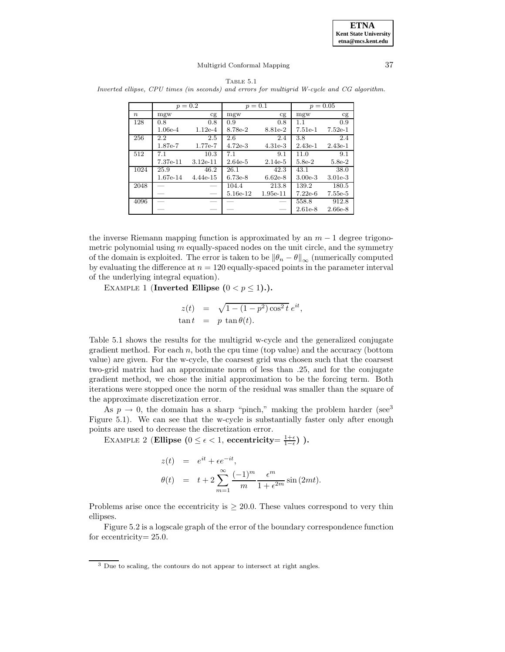

|                                                                                             |  | TABLE 5.1 |  |  |
|---------------------------------------------------------------------------------------------|--|-----------|--|--|
| Inverted ellipse, CPU times (in seconds) and errors for multigrid W-cycle and CG algorithm. |  |           |  |  |

|                  | $p = 0.2$ |            | $p = 0.1$  |            | $p = 0.05$ |           |
|------------------|-----------|------------|------------|------------|------------|-----------|
| $\boldsymbol{n}$ | mgw       | cg         | mgw        | cg         | mgw        | cg        |
| 128              | 0.8       | 0.8        | 0.9        | 0.8        | 1.1        | 0.9       |
|                  | $1.06e-4$ | $1.12e-4$  | 8.78e-2    | 8.81e-2    | $7.51e-1$  | $7.52e-1$ |
| 256              | 2.2       | 2.5        | 2.6        | 2.4        | 3.8        | 2.4       |
|                  | 1.87e-7   | 1.77e-7    | $4.72e-3$  | $4.31e-3$  | $2.43e-1$  | $2.43e-1$ |
| 512              | 7.1       | 10.3       | 7.1        | 9.1        | 11.0       | 9.1       |
|                  | 7.37e-11  | $3.12e-11$ | $2.64e-5$  | $2.14e-5$  | $5.8e-2$   | $5.8e-2$  |
| 1024             | 25.9      | 46.2       | 26.1       | 42.3       | 43.1       | 38.0      |
|                  | 1.67e-14  | $4.44e-15$ | $6.73e-8$  | $6.62e-8$  | $3.00e-3$  | $3.01e-3$ |
| 2048             |           |            | 104.4      | 213.8      | 139.2      | 180.5     |
|                  |           |            | $5.16e-12$ | $1.95e-11$ | $7.22e-6$  | 7.55e-5   |
| 4096             |           |            |            |            | 558.8      | 912.8     |
|                  |           |            |            |            | $2.61e-8$  | $2.66e-8$ |

the inverse Riemann mapping function is approximated by an  $m-1$  degree trigonometric polynomial using  $m$  equally-spaced nodes on the unit circle, and the symmetry of the domain is exploited. The error is taken to be  $\|\theta_n - \theta\|_{\infty}$  (numerically computed by evaluating the difference at  $n = 120$  equally-spaced points in the parameter interval of the underlying integral equation).

EXAMPLE 1 (**Inverted Ellipse**  $(0 < p \le 1)$ .).

$$
z(t) = \sqrt{1 - (1 - p^2) \cos^2 t} e^{it},
$$
  
\ntan  $t = p \tan \theta(t)$ .

Table 5.1 shows the results for the multigrid w-cycle and the generalized conjugate gradient method. For each  $n$ , both the cpu time (top value) and the accuracy (bottom value) are given. For the w-cycle, the coarsest grid was chosen such that the coarsest two-grid matrix had an approximate norm of less than .25, and for the conjugate gradient method, we chose the initial approximation to be the forcing term. Both iterations were stopped once the norm of the residual was smaller than the square of the approximate discretization error.

As  $p \rightarrow 0$ , the domain has a sharp "pinch," making the problem harder (see<sup>3</sup>) Figure 5.1). We can see that the w-cycle is substantially faster only after enough points are used to decrease the discretization error.

EXAMPLE 2 (**Ellipse**  $(0 \le \epsilon < 1$ , **eccentricity** =  $\frac{1+\epsilon}{1-\epsilon}$ ) ).

$$
z(t) = e^{it} + \epsilon e^{-it},
$$
  
\n
$$
\theta(t) = t + 2 \sum_{m=1}^{\infty} \frac{(-1)^m}{m} \frac{\epsilon^m}{1 + \epsilon^{2m}} \sin(2mt).
$$

Problems arise once the eccentricity is  $\geq 20.0$ . These values correspond to very thin ellipses.

Figure 5.2 is a logscale graph of the error of the boundary correspondence function for eccentricity = 25.0.

<sup>&</sup>lt;sup>3</sup> Due to scaling, the contours do not appear to intersect at right angles.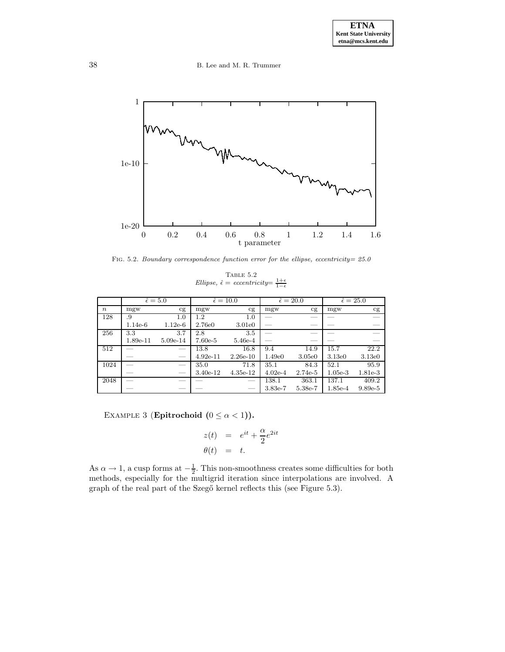38 B. Lee and M. R. Trummer



FIG. 5.2. Boundary correspondence function error for the ellipse, eccentricity=  $25.0$ 

TABLE  $5.2\,$ Ellipse,  $\hat{\epsilon} = eccentricity = \frac{1+\epsilon}{1-\epsilon}$ 

|                  |           | $\hat{\epsilon} = 5.0$ |            | $\hat{\epsilon} = 10.0$ | $\hat{\epsilon} = 20.0$ |           | $\hat{\epsilon} = 25.0$ |           |
|------------------|-----------|------------------------|------------|-------------------------|-------------------------|-----------|-------------------------|-----------|
| $\boldsymbol{n}$ | mgw       | cg                     | mgw        | cg                      | mgw                     | cg        | mgw                     | cg        |
| 128              | .9        | 1.0                    | 1.2        | $1.0\,$                 |                         |           |                         |           |
|                  | $1.14e-6$ | $1.12e-6$              | 2.76e0     | 3.01e0                  |                         |           |                         |           |
| 256              | 3.3       | 3.7                    | 2.8        | 3.5                     |                         |           |                         |           |
|                  | 1.89e-11  | $5.09e-14$             | $7.60e-5$  | 5.46e-4                 |                         |           |                         |           |
| 512              |           |                        | 13.8       | 16.8                    | 9.4                     | 14.9      | 15.7                    | 22.2      |
|                  |           |                        | $4.92e-11$ | $2.26e-10$              | 1.49e0                  | 3.05e0    | 3.13e0                  | 3.13e0    |
| 1024             |           |                        | 35.0       | 71.8                    | 35.1                    | 84.3      | 52.1                    | 95.9      |
|                  |           |                        | 3.40e-12   | $4.35e-12$              | $4.02e-4$               | $2.74e-5$ | $1.05e-3$               | 1.81e-3   |
| 2048             |           |                        |            |                         | 138.1                   | 363.1     | 137.1                   | 409.2     |
|                  |           |                        |            |                         | 3.83e-7                 | 5.38e-7   | 1.85e-4                 | $9.89e-5$ |

EXAMPLE 3 (**Epitrochoid**  $(0 \leq \alpha < 1)$ ).

$$
z(t) = e^{it} + \frac{\alpha}{2}e^{2it}
$$
  

$$
\theta(t) = t.
$$

As  $\alpha \to 1$ , a cusp forms at  $-\frac{1}{2}$ . This non-smoothness creates some difficulties for both methods, especially for the multigrid iteration since interpolations are involved. A graph of the real part of the Szegő kernel reflects this (see Figure 5.3).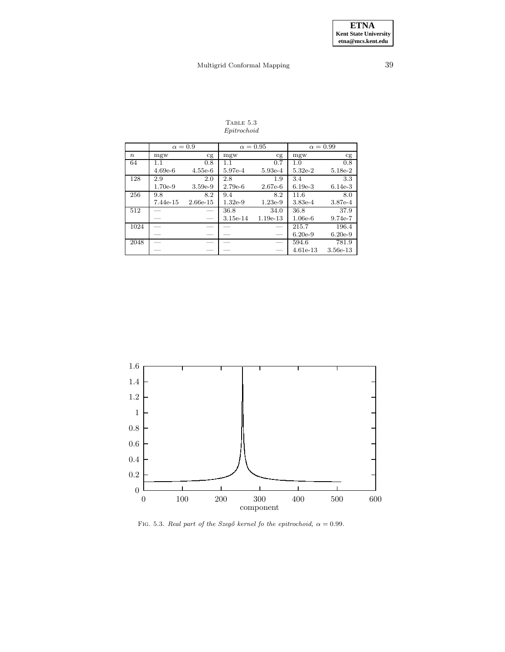### Table 5.3 Epitrochoid

|                  | $\alpha = 0.9$ |            | $\alpha = 0.95$ |            | $\alpha = 0.99$ |           |
|------------------|----------------|------------|-----------------|------------|-----------------|-----------|
| $\boldsymbol{n}$ | mgw            | cg         | mgw             | cg         | mgw             | cg        |
| 64               | 1.1            | 0.8        | 1.1             | 0.7        | 1.0             | 0.8       |
|                  | $4.69e-6$      | $4.55e-6$  | 5.97e-4         | 5.93e-4    | $5.32e-2$       | $5.18e-2$ |
| 128              | 2.9            | 2.0        | 2.8             | 1.9        | 3.4             | 3.3       |
|                  | 1.70e-9        | $3.59e-9$  | $2.79e-6$       | $2.67e-6$  | $6.19e-3$       | $6.14e-3$ |
| 256              | 9.8            | 8.2        | 9.4             | 8.2        | 11.6            | 8.0       |
|                  | 7.44e-15       | $2.66e-15$ | $1.32e-9$       | $1.23e-9$  | $3.83e-4$       | 3.87e-4   |
| 512              |                |            | 36.8            | 34.0       | 36.8            | 37.9      |
|                  |                |            | $3.15e-14$      | $1.19e-13$ | $1.06e-6$       | $9.74e-7$ |
| 1024             |                |            |                 |            | 215.7           | 196.4     |
|                  |                |            |                 |            | $6.20e-9$       | $6.20e-9$ |
| 2048             |                |            |                 |            | 594.6           | 781.9     |
|                  |                |            |                 |            | $4.61e-13$      | 3.56e-13  |



FIG. 5.3. Real part of the Szegő kernel fo the epitrochoid,  $\alpha = 0.99$ .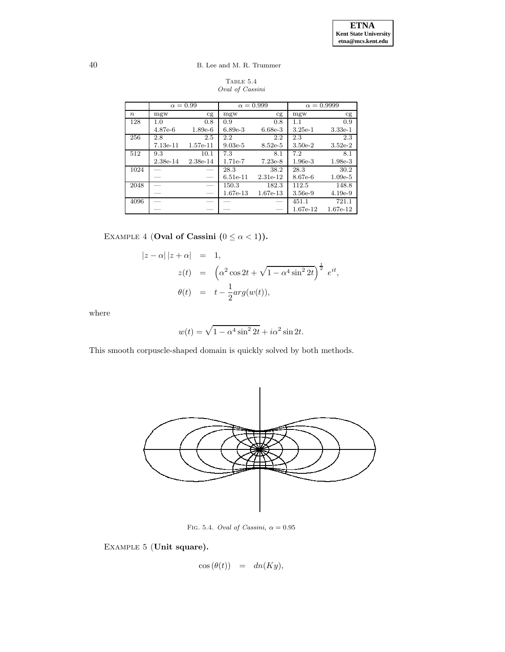TABLE  $5.4\,$ Oval of Cassini

|                  | $\alpha = 0.99$ |                          | $\alpha = 0.999$ |            | $\alpha = 0.9999$ |           |
|------------------|-----------------|--------------------------|------------------|------------|-------------------|-----------|
| $\boldsymbol{n}$ | mgw             | cg                       | mgw              | cg         | mgw               | cg        |
| 128              | 1.0             | 0.8                      | 0.9              | 0.8        | 1.1               | 0.9       |
|                  | 4.87e-6         | $1.89e-6$                | $6.89e-3$        | $6.68e-3$  | $3.25e-1$         | $3.33e-1$ |
| 256              | 2.8             | 2.5                      | $2.2\,$          | 2.2        | 2.3               | 2.3       |
|                  | $7.13e-11$      | $1.57e-11$               | $9.03e-5$        | $8.52e-5$  | $3.50e-2$         | $3.52e-2$ |
| 512              | 9.3             | 10.1                     | 7.3              | 8.1        | 7.2               | 8.1       |
|                  | 2.38e-14        | 2.38e-14                 | 1.71e-7          | $7.23e-8$  | $1.96e-3$         | $1.98e-3$ |
| 1024             |                 |                          | 28.3             | 38.2       | 28.3              | 30.2      |
|                  |                 |                          | $6.51e-11$       | 2.31e-12   | 8.67e-6           | $1.09e-5$ |
| 2048             |                 |                          | 150.3            | 182.3      | 112.5             | 148.8     |
|                  |                 | $\overline{\phantom{0}}$ | 1.67e-13         | $1.67e-13$ | 3.56e-9           | $4.19e-9$ |
| 4096             |                 |                          |                  |            | 451.1             | 721.1     |
|                  |                 |                          |                  |            | 1.67e-12          | 1.67e-12  |

EXAMPLE 4 (**Oval of Cassini**  $(0 \leq \alpha < 1)$ ).

$$
|z - \alpha| |z + \alpha| = 1,
$$
  
\n
$$
z(t) = (\alpha^2 \cos 2t + \sqrt{1 - \alpha^4 \sin^2 2t})^{\frac{1}{2}} e^{it},
$$
  
\n
$$
\theta(t) = t - \frac{1}{2} arg(w(t)),
$$

where

$$
w(t) = \sqrt{1 - \alpha^4 \sin^2 2t} + i\alpha^2 \sin 2t.
$$

This smooth corpuscle-shaped domain is quickly solved by both methods.



FIG. 5.4. Oval of Cassini,  $\alpha = 0.95$ 

Example 5 (**Unit square).**

$$
\cos(\theta(t)) = dn(Ky),
$$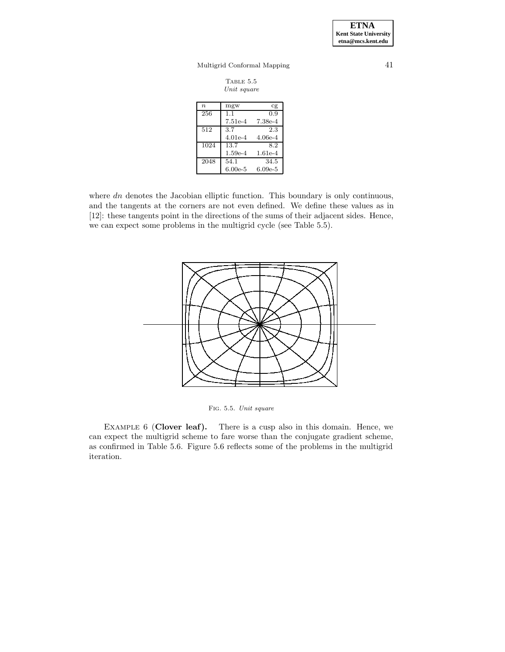**ETNA Kent State University etna@mcs.kent.edu**

# Multigrid Conformal Mapping 41

| TABLE 5.5   |
|-------------|
| Unit square |

| $\boldsymbol{n}$ | mgw       | Cg        |
|------------------|-----------|-----------|
| 256              | 1.1       | 0.9       |
|                  | $7.51e-4$ | 7.38e-4   |
| 512              | 3.7       | 2.3       |
|                  | $4.01e-4$ | 4.06e-4   |
| 1024             | 13.7      | 8.2       |
|                  | $1.59e-4$ | 1.61e-4   |
| 2048             | 54.1      | 34.5      |
|                  | $6.00e-5$ | $6.09e-5$ |

where  $dn$  denotes the Jacobian elliptic function. This boundary is only continuous, and the tangents at the corners are not even defined. We define these values as in [12]: these tangents point in the directions of the sums of their adjacent sides. Hence, we can expect some problems in the multigrid cycle (see Table 5.5).



Fig. 5.5. Unit square

Example 6 (**Clover leaf).** There is a cusp also in this domain. Hence, we can expect the multigrid scheme to fare worse than the conjugate gradient scheme, as confirmed in Table 5.6. Figure 5.6 reflects some of the problems in the multigrid iteration.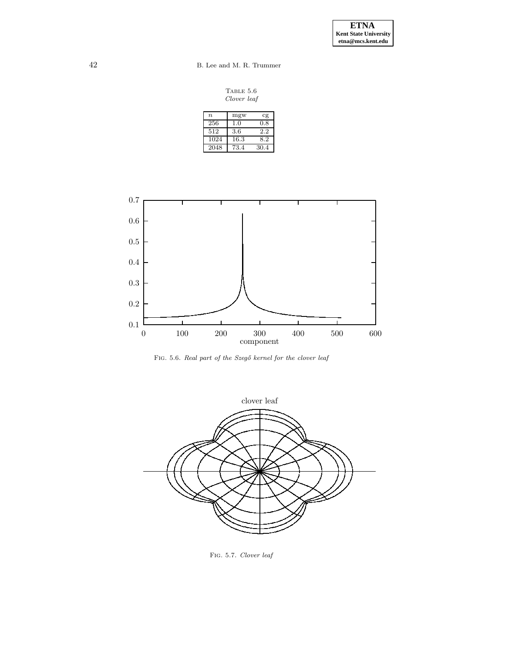42 B. Lee and M. R. Trummer

TABLE 5.6 Clover leaf

| $\boldsymbol{n}$ | mgw  | cg   |
|------------------|------|------|
| 256              | 1.0  | 0.8  |
| 512              | 3.6  | 2.2  |
| 1024             | 16.3 | 8.2  |
| 2048             | 73.4 | 30.4 |



FIG. 5.6. Real part of the Szegő kernel for the clover leaf



Fig. 5.7. Clover leaf